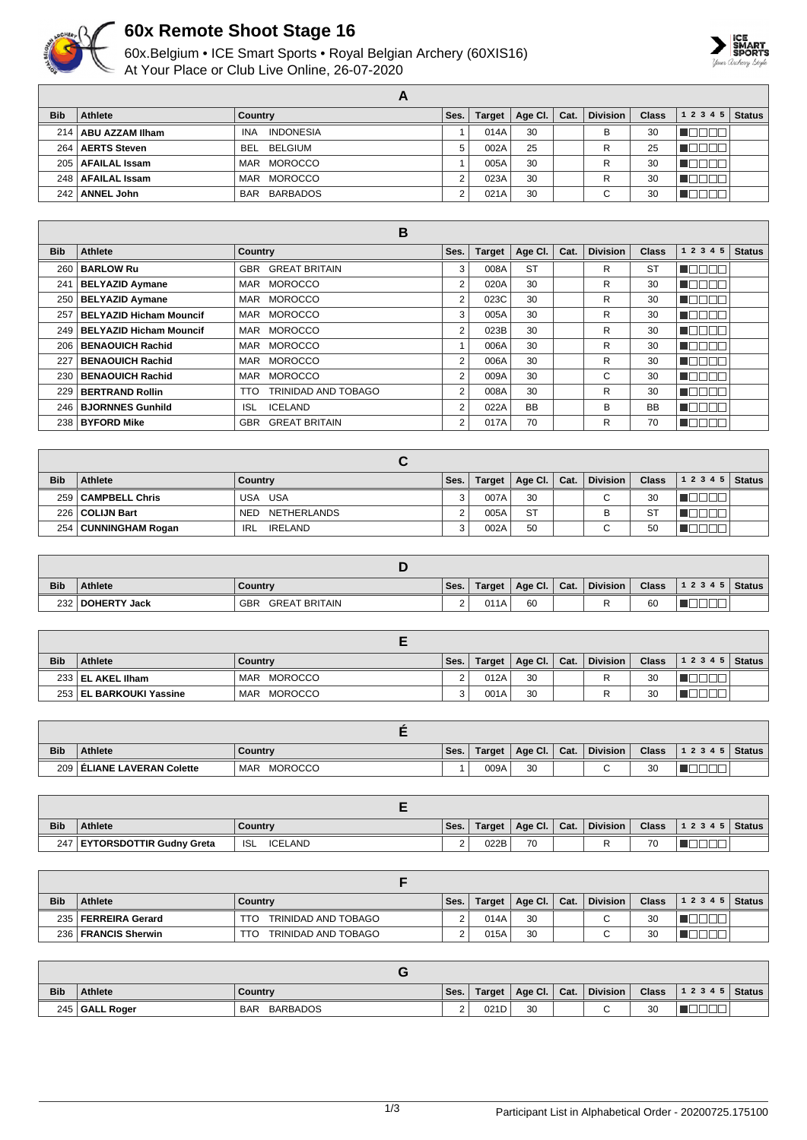

## **60x Remote Shoot Stage 16**

60x.Belgium • ICE Smart Sports • Royal Belgian Archery (60XIS16) At Your Place or Club Live Online, 26-07-2020



| <b>Bib</b> | Athlete               | Country                        | Ses. | <b>Target</b> | Age Cl. | Cat. | <b>Division</b> | Class | 12345 | <b>Status</b> |
|------------|-----------------------|--------------------------------|------|---------------|---------|------|-----------------|-------|-------|---------------|
|            | 214   ABU AZZAM Ilham | <b>INDONESIA</b><br><b>INA</b> |      | 014A          | 30      |      | в               | 30    |       |               |
| 264        | <b>AERTS Steven</b>   | BELGIUM<br>BEL                 | 5    | 002A          | 25      |      | R               | 25    |       |               |
| $205 \mid$ | <b>AFAILAL Issam</b>  | MAR MOROCCO                    |      | 005A          | 30      |      | R               | 30    |       |               |
|            | 248   AFAILAL Issam   | MAR MOROCCO                    |      | 023A          | 30      |      | R               | 30    |       |               |
|            | 242   ANNEL John      | BAR BARBADOS                   | c    | 021A          | 30      |      | ⌒               | 30    |       |               |

|            |                                | B                                  |      |               |           |      |                 |              |               |               |
|------------|--------------------------------|------------------------------------|------|---------------|-----------|------|-----------------|--------------|---------------|---------------|
| <b>Bib</b> | Athlete                        | <b>Country</b>                     | Ses. | <b>Target</b> | Age Cl.   | Cat. | <b>Division</b> | <b>Class</b> | 1 2 3 4 5     | <b>Status</b> |
| 260        | <b>BARLOW Ru</b>               | <b>GREAT BRITAIN</b><br><b>GBR</b> | 3    | 008A          | <b>ST</b> |      | R               | <b>ST</b>    | n do o c      |               |
| 241        | <b>BELYAZID Aymane</b>         | <b>MOROCCO</b><br>MAR              | 2    | 020A          | 30        |      | R               | 30           | undan         |               |
| 250        | <b>BELYAZID Aymane</b>         | <b>MOROCCO</b><br>MAR              | 2    | 023C          | 30        |      | R               | 30           | TA TA TA      |               |
| 257        | <b>BELYAZID Hicham Mouncif</b> | MAR MOROCCO                        | 3    | 005A          | 30        |      | R               | 30           | NG BER        |               |
| 249        | <b>BELYAZID Hicham Mouncif</b> | MAR MOROCCO                        | 2    | 023B          | 30        |      | R               | 30           | na mana       |               |
| 206        | <b>BENAOUICH Rachid</b>        | MAR MOROCCO                        |      | 006A          | 30        |      | R               | 30           | MAN DA        |               |
| 227        | <b>BENAOUICH Rachid</b>        | <b>MOROCCO</b><br>MAR              | 2    | 006A          | 30        |      | R               | 30           | TEEEE         |               |
| 230        | <b>BENAOUICH Rachid</b>        | <b>MOROCCO</b><br>MAR              | 2    | 009A          | 30        |      | C               | 30           | <b>TEBED</b>  |               |
| 229        | <b>BERTRAND Rollin</b>         | <b>TRINIDAD AND TOBAGO</b><br>TTO  | 2    | 008A          | 30        |      | R               | 30           | <b>V</b> OONA |               |
| 246        | <b>BJORNNES Gunhild</b>        | <b>ICELAND</b><br><b>ISL</b>       | 2    | 022A          | <b>BB</b> |      | B               | <b>BB</b>    | n an an a     |               |
| 238        | <b>BYFORD Mike</b>             | <b>GBR</b><br><b>GREAT BRITAIN</b> | 2    | 017A          | 70        |      | R               | 70           | <b>TEEDER</b> |               |

| <b>Bib</b> | <b>Athlete</b>         | Country                   | Ses. | Target | Age Cl. $ $ | Cat. | <b>Division</b>          | <b>Class</b> | 1 2 3 4 5 | <b>Status</b> |
|------------|------------------------|---------------------------|------|--------|-------------|------|--------------------------|--------------|-----------|---------------|
|            | 259   CAMPBELL Chris   | USA USA                   | 3    | 007A   | 30          |      | C.                       | 30           |           |               |
|            | 226   COLIJN Bart      | NETHERLANDS<br><b>NED</b> |      | 005A   | <b>ST</b>   |      | В                        | <b>ST</b>    |           |               |
|            | 254   CUNNINGHAM Rogan | IRELAND<br>IRL            | 3    | 002A   | 50          |      | $\overline{\phantom{0}}$ | 50           |           |               |

| <b>Bib</b>       | Athlete      | Country                            | Ses.     | Target | Age Cl. | Cat. | <b>Division</b> | <b>Class</b> | 12345 | Status |
|------------------|--------------|------------------------------------|----------|--------|---------|------|-----------------|--------------|-------|--------|
| 232 <sub>1</sub> | DOHERTY Jack | <b>GBR</b><br><b>GREAT BRITAIN</b> | <u>.</u> | 011A   | 60      |      |                 | 60           |       |        |

| <b>Bib</b> | Athlete                   | Country                      | Ses.   | Target | Age Cl. $ $ | $^{\prime}$ Cat. | <b>Division</b> | Class . | $12345$ Status |  |
|------------|---------------------------|------------------------------|--------|--------|-------------|------------------|-----------------|---------|----------------|--|
|            | 233 EL AKEL IIham         | MOROCCO<br><b>MAR</b>        | ົ<br>۷ | 012A   | 30          |                  |                 | 30      |                |  |
|            | 253   EL BARKOUKI Yassine | <b>MOROCCO</b><br><b>MAR</b> | ີ      | 001A   | 30          |                  |                 | 30      |                |  |

| <b>Bib</b> | <b>Athlete</b>               | <b>Country</b>               | Ses. | Target | Age Cl. | Cat. | <b>Division</b> | <b>Class</b> | 1 2 3 4 5 | Status |
|------------|------------------------------|------------------------------|------|--------|---------|------|-----------------|--------------|-----------|--------|
|            | 209   ELIANE LAVERAN Colette | <b>MOROCCO</b><br><b>MAR</b> |      | 009A   | 30      |      | ⌒               | 20<br>ΟU     |           |        |

| <b>Bib</b> | <b>Athlete</b>                  | Country                      | Ses. | Target | Age CI. | Cat. | <b>Division</b> | <b>Class</b> | 1 2 3 4 5 | <b>Status</b> |
|------------|---------------------------------|------------------------------|------|--------|---------|------|-----------------|--------------|-----------|---------------|
| 247        | <b>EYTORSDOTTIR Gudny Greta</b> | <b>ICELAND</b><br><b>ISL</b> | -    | 022B   | 70      |      |                 | 70           |           |               |

| <b>Bib</b> | <b>Athlete</b>         | Country                     | Ses. | Target | Age Cl. $\vert$ Cat. | <b>Division</b> | <b>Class</b> | $12345$ Status |  |
|------------|------------------------|-----------------------------|------|--------|----------------------|-----------------|--------------|----------------|--|
| 235        | FERREIRA Gerard        | TRINIDAD AND TOBAGO<br>TTO  |      | 014A   | 30                   |                 | 30           |                |  |
| 236        | <b>FRANCIS Sherwin</b> | TRINIDAD AND TOBAGO<br>TTO. |      | 015A   | 30                   |                 | 30           |                |  |

| <b>Bib</b> | <b>Athlete</b> | ∣ Countrv                     | Ses.               | Target | Age Cl. | Cat. | <b>Division</b> | <b>Class</b> | 1 2 3 4 5   Status |  |
|------------|----------------|-------------------------------|--------------------|--------|---------|------|-----------------|--------------|--------------------|--|
|            | 245 GALL Roger | <b>BARBADOS</b><br><b>BAR</b> | $\sim$<br><u>~</u> | 021D   | 30      |      |                 | 30           |                    |  |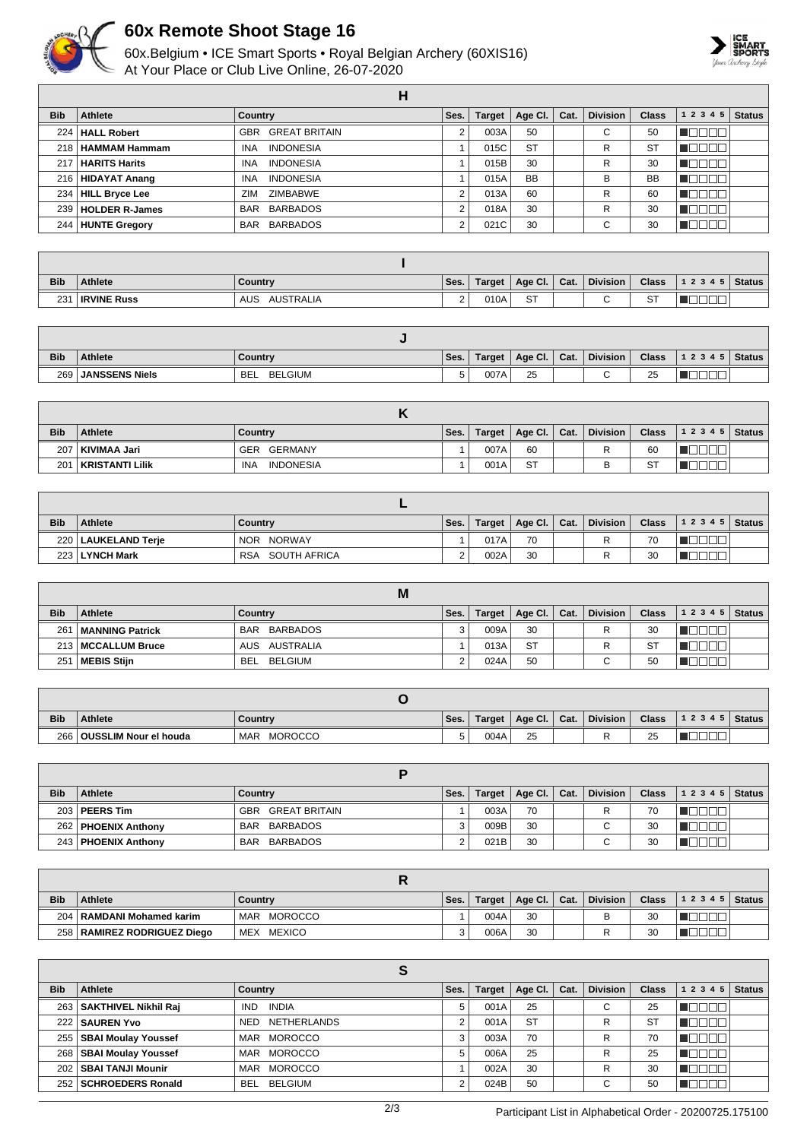

## **60x Remote Shoot Stage 16**

60x.Belgium • ICE Smart Sports • Royal Belgian Archery (60XIS16) At Your Place or Club Live Online, 26-07-2020



|            |                       | Н                                  |                |               |           |      |                 |              |                      |                |
|------------|-----------------------|------------------------------------|----------------|---------------|-----------|------|-----------------|--------------|----------------------|----------------|
| <b>Bib</b> | Athlete               | Country                            | Ses.           | <b>Target</b> | Age CI.   | Cat. | <b>Division</b> | <b>Class</b> | 1 2 3 4 5            | $\vert$ Status |
| 224        | <b>HALL Robert</b>    | <b>GREAT BRITAIN</b><br><b>GBR</b> | $\overline{2}$ | 003A          | 50        |      | ⌒<br>U          | 50           |                      |                |
|            | 218   HAMMAM Hammam   | <b>INDONESIA</b><br><b>INA</b>     |                | 015C          | <b>ST</b> |      | R               | <b>ST</b>    |                      |                |
| 217        | <b>HARITS Harits</b>  | <b>INDONESIA</b><br><b>INA</b>     |                | 015B          | 30        |      | R               | 30           |                      |                |
|            | 216   HIDAYAT Anang   | <b>INDONESIA</b><br><b>INA</b>     |                | 015A          | <b>BB</b> |      | В               | <b>BB</b>    |                      |                |
| 234        | HILL Bryce Lee        | <b>ZIMBABWE</b><br>ZIM             | $\mathfrak{p}$ | 013A          | 60        |      | R               | 60           | $\top$<br><b>III</b> |                |
| 239        | <b>HOLDER R-James</b> | BARBADOS<br>BAR                    | 2              | 018A          | 30        |      | R               | 30           | ╖┍<br>. .<br>- 11    |                |
|            | 244 HUNTE Gregory     | BAR BARBADOS                       | 2              | 021C          | 30        |      | ⌒<br>U          | 30           |                      |                |

| <b>Bib</b> | <b>Athlete</b>     | ∣ Countrv               | Ses.               | Target | Age Cl.             | Cat. | <b>Division</b> | <b>Class</b> | 12345 | <b>Status</b> |
|------------|--------------------|-------------------------|--------------------|--------|---------------------|------|-----------------|--------------|-------|---------------|
| 231        | <b>IRVINE Russ</b> | <b>AUSTRALIA</b><br>AUS | $\sim$<br><u>.</u> | 010A   | $\sim$ $\tau$<br>J. |      |                 | OТ<br>ا ت    |       |               |

| <b>Bib</b>       | <b>Athlete</b>        | Country                | Ses.    | Target | Age CI. | Cat. | <b>Division</b> | <b>Class</b> | 12345 | Status |
|------------------|-----------------------|------------------------|---------|--------|---------|------|-----------------|--------------|-------|--------|
| 269 <sub>1</sub> | <b>JANSSENS Niels</b> | <b>BELGIUM</b><br>`BEL | $\cdot$ | 007A   | 25      |      |                 | 25           | __    |        |

| <b>Bib</b> | Athlete         | Country                        | Ses. | <b>Target</b> | Age Cl.   Cat. |  | Division | <b>Class</b>      | $12345$ Status |  |
|------------|-----------------|--------------------------------|------|---------------|----------------|--|----------|-------------------|----------------|--|
| 207        | KIVIMAA Jari    | GERMANY<br>GER                 |      | 007A          | 60             |  | R        | 60                |                |  |
| 201        | KRISTANTI Lilik | <b>INDONESIA</b><br><b>INA</b> |      | 001A          | <b>ST</b>      |  | В        | $\sim$<br>$\circ$ |                |  |

| <b>Bib</b> | <b>Athlete</b>        | Country                    | Ses. | <b>Target</b> | $\vert$ Age Cl. $\vert$ Cat. |  | <b>Division</b> | <b>Class</b> | 12345 | <b>Status</b> |  |
|------------|-----------------------|----------------------------|------|---------------|------------------------------|--|-----------------|--------------|-------|---------------|--|
|            | 220   LAUKELAND Terje | NOR NORWAY                 |      | 017A          | 70                           |  |                 | 70           |       |               |  |
|            | 223 LYNCH Mark        | SOUTH AFRICA<br><b>RSA</b> |      | 002A          | 30                           |  |                 | 30           |       |               |  |

|                 | M                      |                |      |        |              |  |                 |              |           |               |  |  |
|-----------------|------------------------|----------------|------|--------|--------------|--|-----------------|--------------|-----------|---------------|--|--|
| <b>Bib</b>      | Athlete                | Country        | Ses. | Target | Age Cl. Cat. |  | <b>Division</b> | <b>Class</b> | 1 2 3 4 5 | <b>Status</b> |  |  |
| 26 <sup>′</sup> | <b>MANNING Patrick</b> | BAR BARBADOS   |      | 009A   | 30           |  |                 | 30           |           |               |  |  |
|                 | 213   MCCALLUM Bruce   | AUS AUSTRALIA  |      | 013A   | <b>ST</b>    |  |                 | <b>ST</b>    |           |               |  |  |
| 251             | <b>MEBIS Stijn</b>     | BELGIUM<br>BEL |      | 024A   | 50           |  | $\sim$<br>U     | 50           |           |               |  |  |

| <b>Bib</b> | <b>Athlete</b>        | Country               | Ses. | Target | Age CI. | Cat. | <b>Division</b> | <b>Class</b> | 1 2 3 4 5 | Status, |
|------------|-----------------------|-----------------------|------|--------|---------|------|-----------------|--------------|-----------|---------|
| 266        | OUSSLIM Nour el houda | <b>MOROCCO</b><br>MAR | J    | 004A   | 25      |      |                 | つに<br>ںے     |           |         |

| <b>Bib</b> | <b>Athlete</b>        | Country                  | Ses. | Target | Age Cl. $ $ | Cat. | <b>Division</b> | <b>Class</b> | 12345 | Status |  |
|------------|-----------------------|--------------------------|------|--------|-------------|------|-----------------|--------------|-------|--------|--|
|            | $203$ PEERS Tim       | <b>GBR GREAT BRITAIN</b> |      | 003A   | 70          |      |                 | 70           |       |        |  |
|            | 262   PHOENIX Anthony | BAR BARBADOS             |      | 009B   | 30          |      | $\sim$<br>U     | 30           |       |        |  |
|            | 243   PHOENIX Anthony | BAR BARBADOS             |      | 021B   | 30          |      | $\sim$<br>U     | 30           |       |        |  |

| <b>Bib</b> | <b>Athlete</b>                 | Country               | Ses. | Target | Age Cl.   Cat. |  | <b>Division</b> | <b>Class</b> | 12345 | Status |  |
|------------|--------------------------------|-----------------------|------|--------|----------------|--|-----------------|--------------|-------|--------|--|
| 204        | I RAMDANI Mohamed karim        | <b>MOROCCO</b><br>MAR |      | 004A   | 30             |  | В               | 30           |       |        |  |
| 258        | <b>RAMIREZ RODRIGUEZ Diego</b> | MEXICO<br><b>MEX</b>  |      | 006A   | 30             |  |                 | 30           |       |        |  |

|            | S                          |                                  |      |               |             |      |                 |              |       |               |  |  |
|------------|----------------------------|----------------------------------|------|---------------|-------------|------|-----------------|--------------|-------|---------------|--|--|
| <b>Bib</b> | Athlete                    | Country                          | Ses. | <b>Target</b> | Age Cl. $ $ | Cat. | <b>Division</b> | <b>Class</b> | 12345 | <b>Status</b> |  |  |
|            | 263   SAKTHIVEL Nikhil Raj | <b>INDIA</b><br><b>IND</b>       | 5    | 001A          | 25          |      | С               | 25           |       |               |  |  |
|            | 222   SAUREN Yvo           | <b>NETHERLANDS</b><br><b>NED</b> |      | 001A          | <b>ST</b>   |      | R               | <b>ST</b>    |       |               |  |  |
| 255        | <b>SBAI Moulay Youssef</b> | MAR MOROCCO                      | 3    | 003A          | 70          |      | R               | 70           |       |               |  |  |
|            | 268   SBAI Moulay Youssef  | MAR MOROCCO                      | 5    | 006A          | 25          |      | R               | 25           |       |               |  |  |
| 202        | <b>SBAI TANJI Mounir</b>   | MAR MOROCCO                      |      | 002A          | 30          |      | R               | 30           |       |               |  |  |
|            | 252   SCHROEDERS Ronald    | BELGIUM<br><b>BEL</b>            | ◠    | 024B          | 50          |      | $\sim$<br>U     | 50           |       |               |  |  |